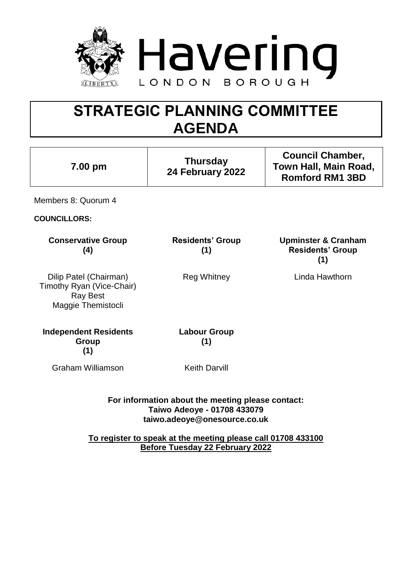

# **STRATEGIC PLANNING COMMITTEE AGENDA**

| 7.00 pm                                                                                                          | <b>Thursday</b><br>24 February 2022 | <b>Council Chamber,</b><br>Town Hall, Main Road,<br><b>Romford RM1 3BD</b> |
|------------------------------------------------------------------------------------------------------------------|-------------------------------------|----------------------------------------------------------------------------|
| Members 8: Quorum 4                                                                                              |                                     |                                                                            |
| <b>COUNCILLORS:</b>                                                                                              |                                     |                                                                            |
| <b>Conservative Group</b><br>(4)                                                                                 | <b>Residents' Group</b><br>(1)      | <b>Upminster &amp; Cranham</b><br><b>Residents' Group</b><br>(1)           |
| Dilip Patel (Chairman)<br>Timothy Ryan (Vice-Chair)<br><b>Ray Best</b><br>Maggie Themistocli                     | <b>Reg Whitney</b>                  | Linda Hawthorn                                                             |
| <b>Independent Residents</b><br>Group<br>(1)                                                                     | <b>Labour Group</b><br>(1)          |                                                                            |
| <b>Graham Williamson</b>                                                                                         | <b>Keith Darvill</b>                |                                                                            |
| For information about the meeting please contact:<br>Taiwo Adeoye - 01708 433079<br>taiwo.adeoye@onesource.co.uk |                                     |                                                                            |
| To register to speak at the meeting please call 01708 433100                                                     |                                     |                                                                            |

**Before Tuesday 22 February 2022**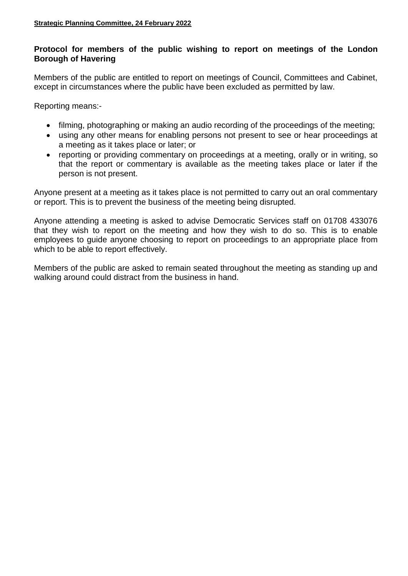## **Protocol for members of the public wishing to report on meetings of the London Borough of Havering**

Members of the public are entitled to report on meetings of Council, Committees and Cabinet, except in circumstances where the public have been excluded as permitted by law.

Reporting means:-

- filming, photographing or making an audio recording of the proceedings of the meeting;
- using any other means for enabling persons not present to see or hear proceedings at a meeting as it takes place or later; or
- reporting or providing commentary on proceedings at a meeting, orally or in writing, so that the report or commentary is available as the meeting takes place or later if the person is not present.

Anyone present at a meeting as it takes place is not permitted to carry out an oral commentary or report. This is to prevent the business of the meeting being disrupted.

Anyone attending a meeting is asked to advise Democratic Services staff on 01708 433076 that they wish to report on the meeting and how they wish to do so. This is to enable employees to guide anyone choosing to report on proceedings to an appropriate place from which to be able to report effectively.

Members of the public are asked to remain seated throughout the meeting as standing up and walking around could distract from the business in hand.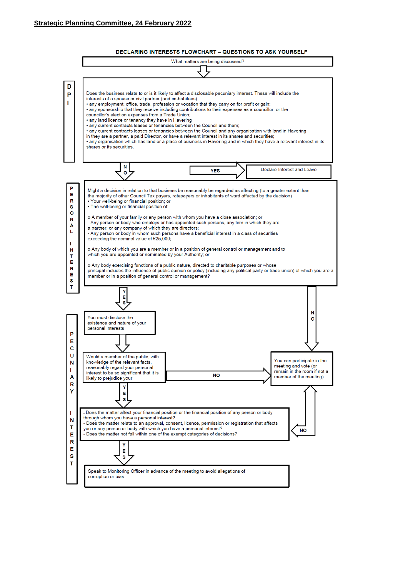

**DECLARING INTERESTS FLOWCHART - QUESTIONS TO ASK YOURSELF**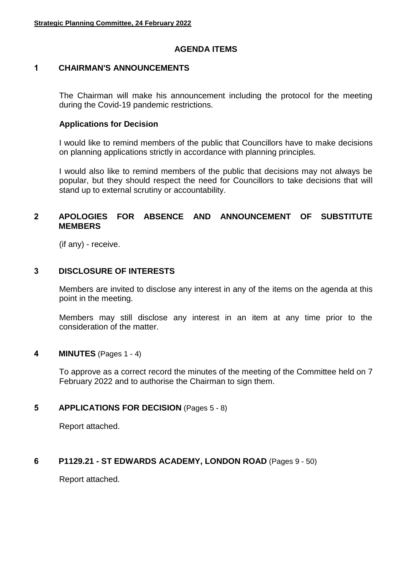### **AGENDA ITEMS**

#### **1 CHAIRMAN'S ANNOUNCEMENTS**

The Chairman will make his announcement including the protocol for the meeting during the Covid-19 pandemic restrictions.

#### **Applications for Decision**

I would like to remind members of the public that Councillors have to make decisions on planning applications strictly in accordance with planning principles.

I would also like to remind members of the public that decisions may not always be popular, but they should respect the need for Councillors to take decisions that will stand up to external scrutiny or accountability.

### **2 APOLOGIES FOR ABSENCE AND ANNOUNCEMENT OF SUBSTITUTE MEMBERS**

(if any) - receive.

#### **3 DISCLOSURE OF INTERESTS**

Members are invited to disclose any interest in any of the items on the agenda at this point in the meeting.

Members may still disclose any interest in an item at any time prior to the consideration of the matter.

#### **4 MINUTES** (Pages 1 - 4)

To approve as a correct record the minutes of the meeting of the Committee held on 7 February 2022 and to authorise the Chairman to sign them.

#### **5 APPLICATIONS FOR DECISION** (Pages 5 - 8)

Report attached.

#### **6 P1129.21 - ST EDWARDS ACADEMY, LONDON ROAD** (Pages 9 - 50)

Report attached.